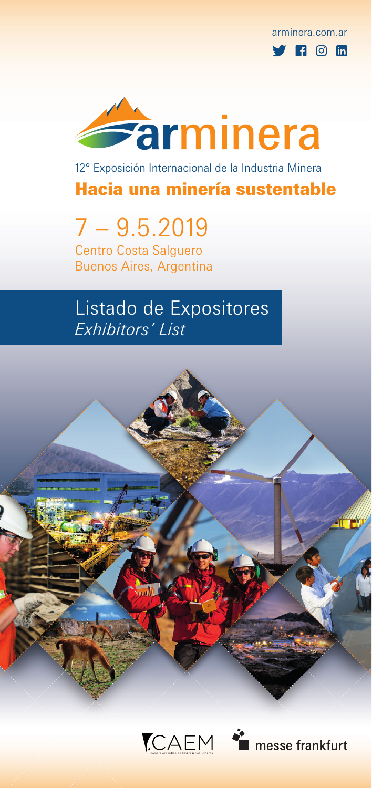arminera.com.ar  $\mathbf{F}$   $\mathbf{F}$   $\odot$   $\mathbf{F}$ 



12° Exposición Internacional de la Industria Minera

Hacia una minería sustentable

7 – 9.5.2019 Centro Costa Salguero

Buenos Aires, Argentina

# Listado de Expositores *Exhibitors' List*

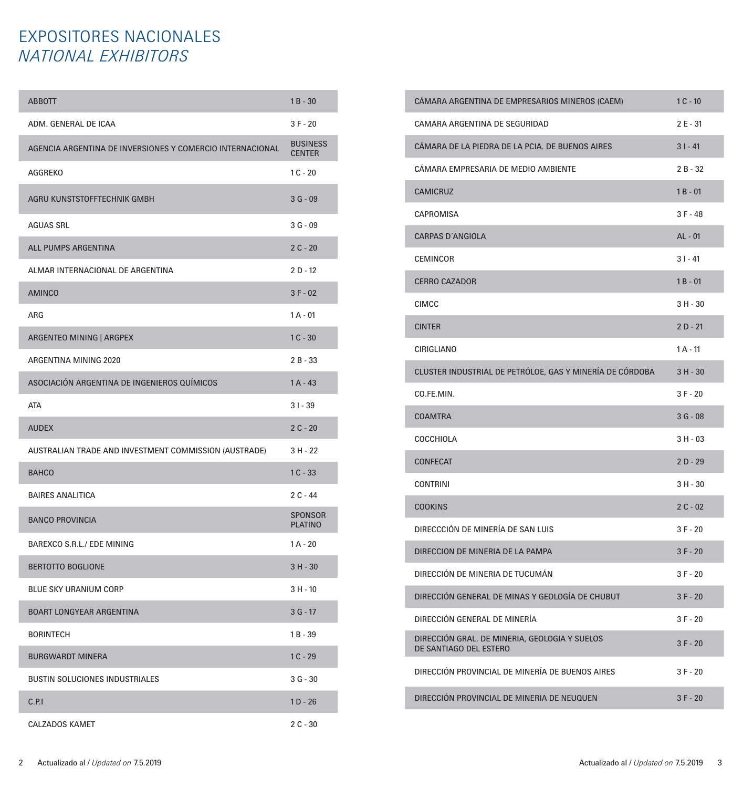## EXPOSITORES NACIONALES *NATIONAL EXHIBITORS*

| <b>ABBOTT</b>                                             | $1B - 30$                        |
|-----------------------------------------------------------|----------------------------------|
| ADM. GENERAL DE ICAA                                      | $3F - 20$                        |
| AGENCIA ARGENTINA DE INVERSIONES Y COMERCIO INTERNACIONAL | <b>BUSINESS</b><br><b>CENTER</b> |
| AGGREKO                                                   | $1C - 20$                        |
| AGRU KUNSTSTOFFTECHNIK GMBH                               | $3G - 09$                        |
| <b>AGUAS SRL</b>                                          | $3G - 09$                        |
| ALL PUMPS ARGENTINA                                       | $2C - 20$                        |
| ALMAR INTERNACIONAL DE ARGENTINA                          | $2D - 12$                        |
| <b>AMINCO</b>                                             | $3F - 02$                        |
| ARG                                                       | $1A - 01$                        |
| ARGENTEO MINING   ARGPEX                                  | $1C - 30$                        |
| ARGENTINA MINING 2020                                     | $2B - 33$                        |
| ASOCIACIÓN ARGENTINA DE INGENIEROS QUÍMICOS               | $1A - 43$                        |
| <b>ATA</b>                                                | $31 - 39$                        |
| <b>AUDEX</b>                                              | $2C - 20$                        |
| AUSTRALIAN TRADE AND INVESTMENT COMMISSION (AUSTRADE)     | 3 H - 22                         |
| <b>BAHCO</b>                                              | $1C - 33$                        |
| <b>BAIRES ANALITICA</b>                                   | $2C - 44$                        |
| <b>BANCO PROVINCIA</b>                                    | <b>SPONSOR</b><br><b>PLATINO</b> |
| BAREXCO S.R.L./ EDE MINING                                | $1A - 20$                        |
| <b>BERTOTTO BOGLIONE</b>                                  | $3H - 30$                        |
| <b>BLUE SKY URANIUM CORP</b>                              | $3 H - 10$                       |
| <b>BOART LONGYEAR ARGENTINA</b>                           | $3G - 17$                        |
| <b>BORINTECH</b>                                          | $1B - 39$                        |
| <b>BURGWARDT MINERA</b>                                   | $1C - 29$                        |
| <b>BUSTIN SOLUCIONES INDUSTRIALES</b>                     | $3G - 30$                        |
| C.P.1                                                     | $1D - 26$                        |
| <b>CALZADOS KAMET</b>                                     | $2C - 30$                        |

| CAMARA ARGENTINA DE EMPRESARIOS MINEROS (CAEM)                          | $1C - 10$  |
|-------------------------------------------------------------------------|------------|
| CAMARA ARGENTINA DE SEGURIDAD                                           | 2 E - 31   |
| CÁMARA DE LA PIEDRA DE LA PCIA. DE BUENOS AIRES                         | $31 - 41$  |
| CÁMARA EMPRESARIA DE MEDIO AMBIENTE                                     | $2B - 32$  |
| <b>CAMICRUZ</b>                                                         | $1B - 01$  |
| <b>CAPROMISA</b>                                                        | $3F - 48$  |
| <b>CARPAS D'ANGIOLA</b>                                                 | AL - 01    |
| <b>CEMINCOR</b>                                                         | $31 - 41$  |
| <b>CERRO CAZADOR</b>                                                    | $1B - 01$  |
| <b>CIMCC</b>                                                            | $3 H - 30$ |
| <b>CINTER</b>                                                           | $2D - 21$  |
| CIRIGLIANO                                                              | $1A - 11$  |
| CLUSTER INDUSTRIAL DE PETRÓLOE, GAS Y MINERÍA DE CÓRDOBA                | $3 H - 30$ |
| CO.FE.MIN.                                                              | $3F - 20$  |
| <b>COAMTRA</b>                                                          | $3G - 08$  |
| <b>COCCHIOLA</b>                                                        | $3 H - 03$ |
| <b>CONFECAT</b>                                                         | $2D - 29$  |
| <b>CONTRINI</b>                                                         | $3 H - 30$ |
| <b>COOKINS</b>                                                          | $2C - 02$  |
| DIRECCCIÓN DE MINERÍA DE SAN LUIS                                       | $3F - 20$  |
| DIRECCION DE MINERIA DE LA PAMPA                                        | $3F - 20$  |
| DIRECCIÓN DE MINERIA DE TUCUMÁN                                         | $3F - 20$  |
| DIRECCIÓN GENERAL DE MINAS Y GEOLOGÍA DE CHUBUT                         | $3F - 20$  |
| DIRECCIÓN GENERAL DE MINERÍA                                            | $3F - 20$  |
| DIRECCIÓN GRAL. DE MINERIA, GEOLOGIA Y SUELOS<br>DE SANTIAGO DEL ESTERO | $3F - 20$  |
| DIRECCIÓN PROVINCIAL DE MINERÍA DE BUENOS AIRES                         | $3F - 20$  |
| DIRECCIÓN PROVINCIAL DE MINERIA DE NEUQUEN                              | $3F - 20$  |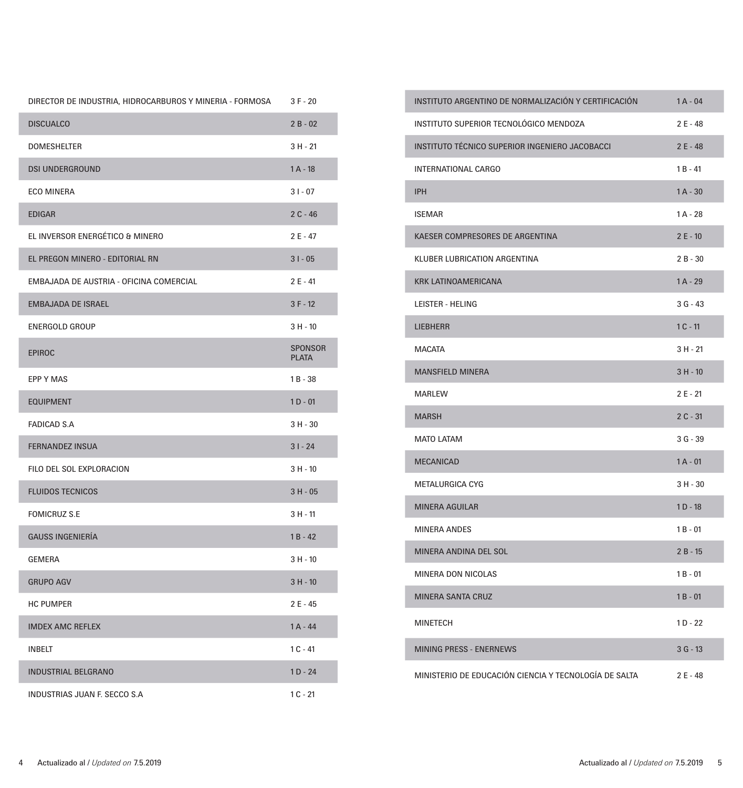| DIRECTOR DE INDUSTRIA, HIDROCARBUROS Y MINERIA - FORMOSA | 3 F - 20                       |
|----------------------------------------------------------|--------------------------------|
| <b>DISCUALCO</b>                                         | $2B - 02$                      |
| <b>DOMESHELTER</b>                                       | $3 H - 21$                     |
| <b>DSI UNDERGROUND</b>                                   | $1A - 18$                      |
| <b>ECO MINERA</b>                                        | $31 - 07$                      |
| <b>EDIGAR</b>                                            | $2C - 46$                      |
| EL INVERSOR ENERGÉTICO & MINERO                          | 2 E - 47                       |
| EL PREGON MINERO - EDITORIAL RN                          | $31 - 05$                      |
| EMBAJADA DE AUSTRIA - OFICINA COMERCIAL                  | 2 E - 41                       |
| <b>EMBAJADA DE ISRAEL</b>                                | $3F - 12$                      |
| <b>ENERGOLD GROUP</b>                                    | $3 H - 10$                     |
| <b>EPIROC</b>                                            | <b>SPONSOR</b><br><b>PLATA</b> |
| <b>EPP Y MAS</b>                                         | $1B - 38$                      |
| <b>EQUIPMENT</b>                                         | $1 D - 01$                     |
| <b>FADICAD S.A</b>                                       | $3 H - 30$                     |
| <b>FERNANDEZ INSUA</b>                                   | $31 - 24$                      |
| FILO DEL SOL EXPLORACION                                 | $3 H - 10$                     |
| <b>FLUIDOS TECNICOS</b>                                  | $3 H - 05$                     |
| <b>FOMICRUZ S.E</b>                                      | $3 H - 11$                     |
| <b>GAUSS INGENIERÍA</b>                                  | $1B - 42$                      |
| <b>GEMERA</b>                                            | $3 H - 10$                     |
| <b>GRUPO AGV</b>                                         | $3 H - 10$                     |
| <b>HC PUMPER</b>                                         | 2 E - 45                       |
| <b>IMDEX AMC REFLEX</b>                                  | $1A - 44$                      |
| <b>INBELT</b>                                            | $1C - 41$                      |
| <b>INDUSTRIAL BELGRANO</b>                               | $1D - 24$                      |
| INDUSTRIAS JUAN F. SECCO S.A                             | $1C - 21$                      |

| INSTITUTO ARGENTINO DE NORMALIZACIÓN Y CERTIFICACIÓN  | $1A - 04$  |
|-------------------------------------------------------|------------|
| INSTITUTO SUPERIOR TECNOLÓGICO MENDOZA                | 2 E - 48   |
| INSTITUTO TÉCNICO SUPERIOR INGENIERO JACOBACCI        | $2E - 48$  |
| <b>INTERNATIONAL CARGO</b>                            | 1 B - 41   |
| <b>IPH</b>                                            | $1A - 30$  |
| <b>ISEMAR</b>                                         | $1A - 28$  |
| KAESER COMPRESORES DE ARGENTINA                       | $2E - 10$  |
| <b>KLUBER LUBRICATION ARGENTINA</b>                   | $2B - 30$  |
| <b>KRK LATINOAMERICANA</b>                            | $1A - 29$  |
| LEISTER - HELING                                      | 3 G - 43   |
| <b>LIEBHERR</b>                                       | $1C - 11$  |
| <b>MACATA</b>                                         | 3 H - 21   |
| <b>MANSFIELD MINERA</b>                               | $3 H - 10$ |
| <b>MARLEW</b>                                         | 2 E - 21   |
| <b>MARSH</b>                                          | $2C - 31$  |
| <b>MATO LATAM</b>                                     | $3G - 39$  |
| <b>MECANICAD</b>                                      | $1A - 01$  |
| <b>METALURGICA CYG</b>                                | $3 H - 30$ |
| <b>MINERA AGUILAR</b>                                 | $1D - 18$  |
| <b>MINERA ANDES</b>                                   | $1B - 01$  |
| MINERA ANDINA DEL SOL                                 | $2B - 15$  |
| MINERA DON NICOLAS                                    | 1 B - 01   |
| <b>MINERA SANTA CRUZ</b>                              | $1B - 01$  |
| MINETECH                                              | $1D - 22$  |
| <b>MINING PRESS - ENERNEWS</b>                        | $3G - 13$  |
| MINISTERIO DE EDUCACIÓN CIENCIA Y TECNOLOGÍA DE SALTA | 2 E - 48   |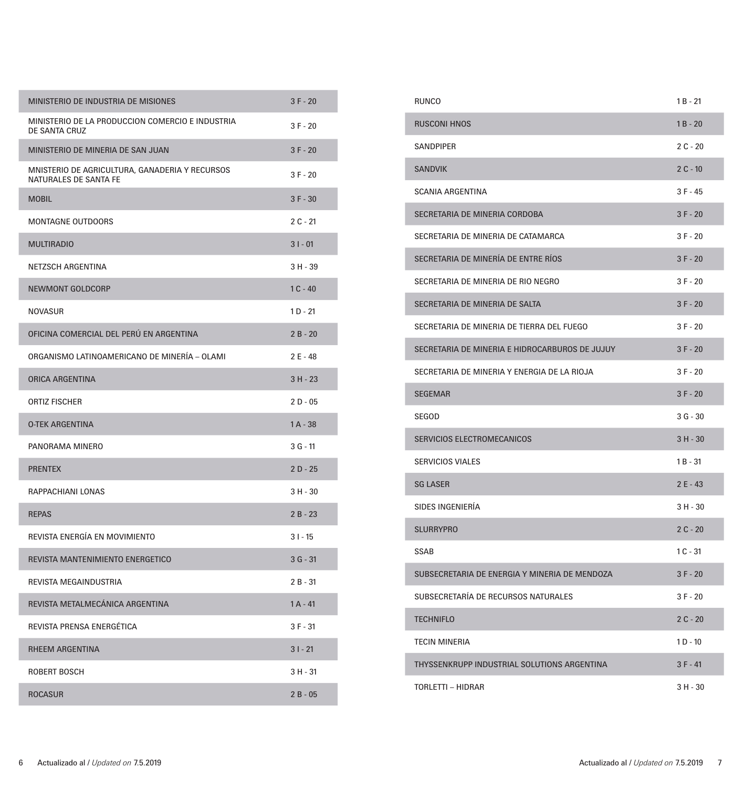| MINISTERIO DE INDUSTRIA DE MISIONES                                     | $3F - 20$  |
|-------------------------------------------------------------------------|------------|
| MINISTERIO DE LA PRODUCCION COMERCIO E INDUSTRIA<br>DE SANTA CRUZ       | $3F - 20$  |
| MINISTERIO DE MINERIA DE SAN JUAN                                       | $3F - 20$  |
| MNISTERIO DE AGRICULTURA, GANADERIA Y RECURSOS<br>NATURALES DE SANTA FE | $3F - 20$  |
| <b>MOBIL</b>                                                            | $3F - 30$  |
| <b>MONTAGNE OUTDOORS</b>                                                | $2C - 21$  |
| <b>MULTIRADIO</b>                                                       | $31 - 01$  |
| NETZSCH ARGENTINA                                                       | $3 H - 39$ |
| <b>NEWMONT GOLDCORP</b>                                                 | $1C - 40$  |
| <b>NOVASUR</b>                                                          | $1 D - 21$ |
| OFICINA COMERCIAL DEL PERÚ EN ARGENTINA                                 | $2B - 20$  |
| ORGANISMO LATINOAMERICANO DE MINERÍA - OLAMI                            | $2E - 48$  |
| <b>ORICA ARGENTINA</b>                                                  | $3 H - 23$ |
| <b>ORTIZ FISCHER</b>                                                    | $2D - 05$  |
| <b>O-TEK ARGENTINA</b>                                                  | $1A - 38$  |
| PANORAMA MINERO                                                         | 3 G - 11   |
| <b>PRENTEX</b>                                                          | $2D - 25$  |
| RAPPACHIANI LONAS                                                       | 3 H - 30   |
| <b>REPAS</b>                                                            | $2B - 23$  |
| REVISTA ENERGÍA EN MOVIMIENTO                                           | $31 - 15$  |
| REVISTA MANTENIMIENTO ENERGETICO                                        | $3G - 31$  |
| REVISTA MEGAINDUSTRIA                                                   | $2B - 31$  |
| REVISTA METALMECÁNICA ARGENTINA                                         | $1A - 41$  |
| REVISTA PRENSA ENERGÉTICA                                               | $3 F - 31$ |
| <b>RHEEM ARGENTINA</b>                                                  | $31 - 21$  |
| <b>ROBERT BOSCH</b>                                                     | $3 H - 31$ |
| <b>ROCASUR</b>                                                          | $2B - 05$  |

| <b>RUNCO</b>                                   | 1 B - 21   |
|------------------------------------------------|------------|
| <b>RUSCONI HNOS</b>                            | $1B - 20$  |
| <b>SANDPIPER</b>                               | $2C - 20$  |
| <b>SANDVIK</b>                                 | $2C - 10$  |
| <b>SCANIA ARGENTINA</b>                        | 3 F - 45   |
| SECRETARIA DE MINERIA CORDOBA                  | $3F - 20$  |
| SECRETARIA DE MINERIA DE CATAMARCA             | 3 F - 20   |
| SECRETARIA DE MINERÍA DE ENTRE RÍOS            | $3F - 20$  |
| SECRETARIA DE MINERIA DE RIO NEGRO             | $3F - 20$  |
| SECRETARIA DE MINERIA DE SALTA                 | $3F - 20$  |
| SECRETARIA DE MINERIA DE TIERRA DEL FUEGO      | $3F - 20$  |
| SECRETARIA DE MINERIA E HIDROCARBUROS DE JUJUY | $3F - 20$  |
| SECRETARIA DE MINERIA Y ENERGIA DE LA RIOJA    | $3F - 20$  |
| <b>SEGEMAR</b>                                 | $3F - 20$  |
| SEGOD                                          | $3G - 30$  |
| SERVICIOS ELECTROMECANICOS                     | $3 H - 30$ |
| <b>SERVICIOS VIALES</b>                        | $1B - 31$  |
| <b>SG LASER</b>                                | $2E - 43$  |
| SIDES INGENIERÍA                               | $3H - 30$  |
| <b>SLURRYPRO</b>                               | $2C - 20$  |
| <b>SSAB</b>                                    | $1C - 31$  |
| SUBSECRETARIA DE ENERGIA Y MINERIA DE MENDOZA  | $3F - 20$  |
| SUBSECRETARÍA DE RECURSOS NATURALES            | $3F - 20$  |
| <b>TECHNIFLO</b>                               | $2C - 20$  |
| <b>TECIN MINERIA</b>                           | $1 D - 10$ |
| THYSSENKRUPP INDUSTRIAL SOLUTIONS ARGENTINA    | $3F - 41$  |
| TORLETTI - HIDRAR                              | 3H - 30    |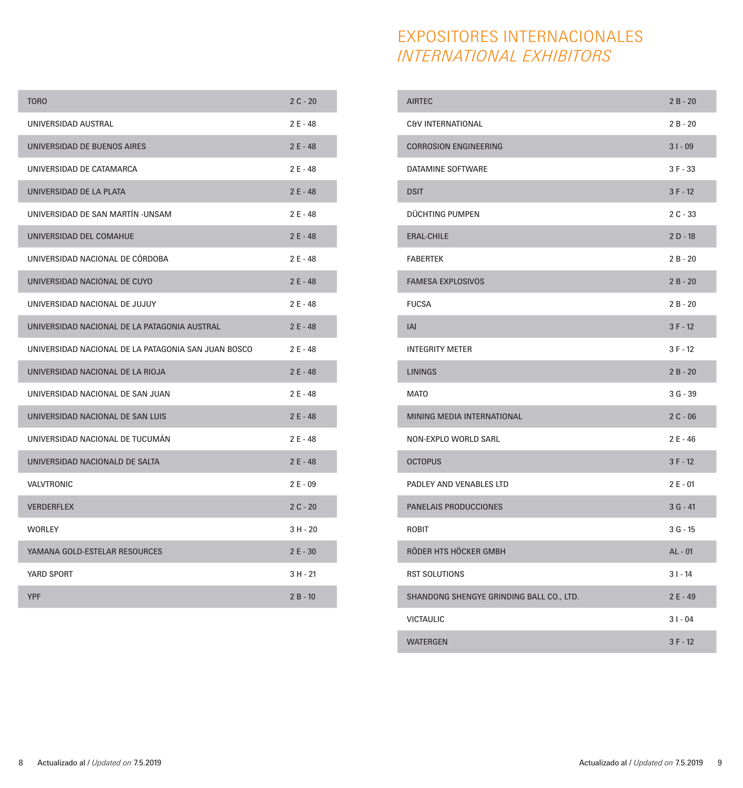| EXPOSITORES INTERNACIONALES     |
|---------------------------------|
| <i>INTERNATIONAL EXHIBITORS</i> |

| TORO                                                | $2C - 20$  |
|-----------------------------------------------------|------------|
| UNIVERSIDAD AUSTRAL                                 | $2E - 48$  |
| UNIVERSIDAD DE BUENOS AIRES                         | $2E - 48$  |
| UNIVERSIDAD DE CATAMARCA                            | $2E - 48$  |
| UNIVERSIDAD DE LA PLATA                             | $2E - 48$  |
| UNIVERSIDAD DE SAN MARTÍN - UNSAM                   | $2E - 48$  |
| UNIVERSIDAD DEL COMAHUE                             | $2E - 48$  |
| UNIVERSIDAD NACIONAL DE CÓRDOBA                     | $2E - 48$  |
| UNIVERSIDAD NACIONAL DE CUYO                        | $2E - 48$  |
| UNIVERSIDAD NACIONAL DE JUJUY                       | $2E - 48$  |
| UNIVERSIDAD NACIONAL DE LA PATAGONIA AUSTRAL        | $2E - 48$  |
| UNIVERSIDAD NACIONAL DE LA PATAGONIA SAN JUAN BOSCO | $2E - 48$  |
| UNIVERSIDAD NACIONAL DE LA RIOJA                    | $2E - 48$  |
| UNIVERSIDAD NACIONAL DE SAN JUAN                    | 2 E - 48   |
| UNIVERSIDAD NACIONAL DE SAN LUIS                    | $2E - 48$  |
| UNIVERSIDAD NACIONAL DE TUCUMÁN                     | $2E - 48$  |
| UNIVERSIDAD NACIONALD DE SALTA                      | $2E - 48$  |
| <b>VALVTRONIC</b>                                   | $2E - 09$  |
| <b>VERDERFLEX</b>                                   | $2C - 20$  |
| <b>WORLEY</b>                                       | $3H - 20$  |
| YAMANA GOLD-ESTELAR RESOURCES                       | $2E - 30$  |
| YARD SPORT                                          | $3 H - 21$ |
| <b>YPF</b>                                          | $2B - 10$  |

| <b>AIRTEC</b>                            | $2B - 20$ |
|------------------------------------------|-----------|
| C&V INTERNATIONAL                        | $2B - 20$ |
| <b>CORROSION ENGINEERING</b>             | $31 - 09$ |
| DATAMINE SOFTWARE                        | $3F - 33$ |
| <b>DSIT</b>                              | $3F - 12$ |
| DÜCHTING PUMPEN                          | $2C - 33$ |
| <b>ERAL-CHILE</b>                        | $2D - 18$ |
| <b>FABERTEK</b>                          | $2B - 20$ |
| <b>FAMESA EXPLOSIVOS</b>                 | $2B - 20$ |
| <b>FUCSA</b>                             | $2B - 20$ |
| <b>IAI</b>                               | $3F - 12$ |
| <b>INTEGRITY METER</b>                   | $3F - 12$ |
| <b>LININGS</b>                           | $2B - 20$ |
| <b>MATO</b>                              | $3G - 39$ |
| <b>MINING MEDIA INTERNATIONAL</b>        | $2C - 06$ |
| <b>NON-EXPLO WORLD SARL</b>              | $2E - 46$ |
| <b>OCTOPUS</b>                           | $3F - 12$ |
| PADLEY AND VENABLES LTD                  | $2E - 01$ |
| <b>PANELAIS PRODUCCIONES</b>             | $3G - 41$ |
| <b>ROBIT</b>                             | $3G - 15$ |
| RÖDER HTS HÖCKER GMBH                    | $AL - 01$ |
| <b>RST SOLUTIONS</b>                     | $31 - 14$ |
| SHANDONG SHENGYE GRINDING BALL CO., LTD. | $2E - 49$ |
| <b>VICTAULIC</b>                         | $31 - 04$ |
| <b>WATERGEN</b>                          | $3F - 12$ |